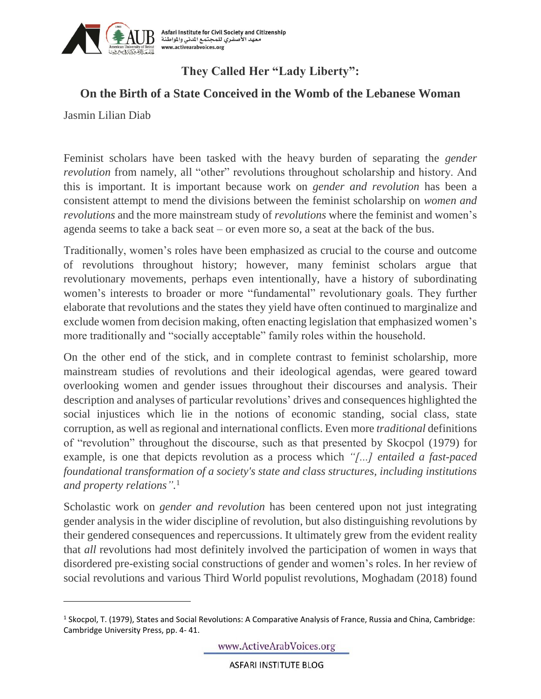

## **They Called Her "Lady Liberty":**

## **On the Birth of a State Conceived in the Womb of the Lebanese Woman**

Jasmin Lilian Diab

l

Feminist scholars have been tasked with the heavy burden of separating the *gender revolution* from namely, all "other" revolutions throughout scholarship and history. And this is important. It is important because work on *gender and revolution* has been a consistent attempt to mend the divisions between the feminist scholarship on *women and revolutions* and the more mainstream study of *revolutions* where the feminist and women's agenda seems to take a back seat – or even more so, a seat at the back of the bus.

Traditionally, women's roles have been emphasized as crucial to the course and outcome of revolutions throughout history; however, many feminist scholars argue that revolutionary movements, perhaps even intentionally, have a history of subordinating women's interests to broader or more "fundamental" revolutionary goals. They further elaborate that revolutions and the states they yield have often continued to marginalize and exclude women from decision making, often enacting legislation that emphasized women's more traditionally and "socially acceptable" family roles within the household.

On the other end of the stick, and in complete contrast to feminist scholarship, more mainstream studies of revolutions and their ideological agendas, were geared toward overlooking women and gender issues throughout their discourses and analysis. Their description and analyses of particular revolutions' drives and consequences highlighted the social injustices which lie in the notions of economic standing, social class, state corruption, as well as regional and international conflicts. Even more *traditional* definitions of "revolution" throughout the discourse, such as that presented by Skocpol (1979) for example, is one that depicts revolution as a process which *"[...] entailed a fast-paced foundational transformation of a society's state and class structures, including institutions and property relations".* 1

Scholastic work on *gender and revolution* has been centered upon not just integrating gender analysis in the wider discipline of revolution, but also distinguishing revolutions by their gendered consequences and repercussions. It ultimately grew from the evident reality that *all* revolutions had most definitely involved the participation of women in ways that disordered pre-existing social constructions of gender and women's roles. In her review of social revolutions and various Third World populist revolutions, Moghadam (2018) found

www.ActiveArabVoices.org

**ASFARI INSTITUTE BLOG** 

<sup>&</sup>lt;sup>1</sup> Skocpol, T. (1979), States and Social Revolutions: A Comparative Analysis of France, Russia and China, Cambridge: Cambridge University Press, pp. 4- 41.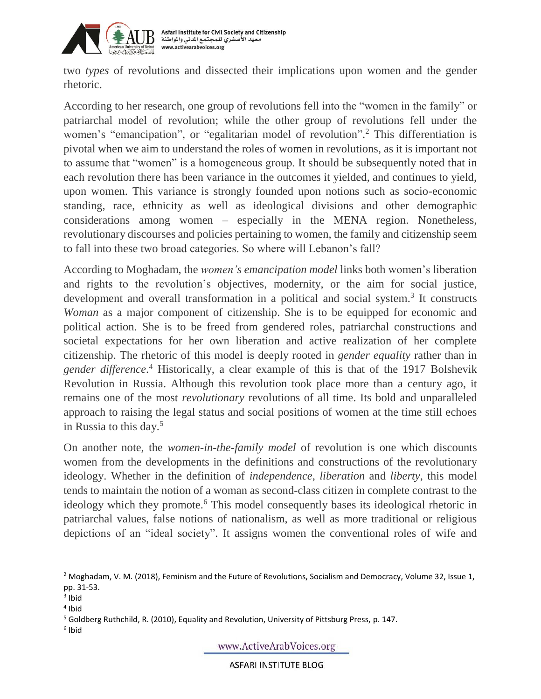

two *types* of revolutions and dissected their implications upon women and the gender rhetoric.

According to her research, one group of revolutions fell into the "women in the family" or patriarchal model of revolution; while the other group of revolutions fell under the women's "emancipation", or "egalitarian model of revolution".<sup>2</sup> This differentiation is pivotal when we aim to understand the roles of women in revolutions, as it is important not to assume that "women" is a homogeneous group. It should be subsequently noted that in each revolution there has been variance in the outcomes it yielded, and continues to yield, upon women. This variance is strongly founded upon notions such as socio-economic standing, race, ethnicity as well as ideological divisions and other demographic considerations among women – especially in the MENA region. Nonetheless, revolutionary discourses and policies pertaining to women, the family and citizenship seem to fall into these two broad categories. So where will Lebanon's fall?

According to Moghadam, the *women's emancipation model* links both women's liberation and rights to the revolution's objectives, modernity, or the aim for social justice, development and overall transformation in a political and social system.<sup>3</sup> It constructs *Woman* as a major component of citizenship. She is to be equipped for economic and political action. She is to be freed from gendered roles, patriarchal constructions and societal expectations for her own liberation and active realization of her complete citizenship. The rhetoric of this model is deeply rooted in *gender equality* rather than in *gender difference*. <sup>4</sup> Historically, a clear example of this is that of the 1917 Bolshevik Revolution in Russia. Although this revolution took place more than a century ago, it remains one of the most *revolutionary* revolutions of all time. Its bold and unparalleled approach to raising the legal status and social positions of women at the time still echoes in Russia to this day. 5

On another note, the *women-in-the-family model* of revolution is one which discounts women from the developments in the definitions and constructions of the revolutionary ideology. Whether in the definition of *independence*, *liberation* and *liberty*, this model tends to maintain the notion of a woman as second-class citizen in complete contrast to the ideology which they promote.<sup>6</sup> This model consequently bases its ideological rhetoric in patriarchal values, false notions of nationalism, as well as more traditional or religious depictions of an "ideal society". It assigns women the conventional roles of wife and

 $\overline{a}$ 

www.ActiveArabVoices.org

**ASFARI INSTITUTE BLOG** 

<sup>&</sup>lt;sup>2</sup> Moghadam, V. M. (2018), Feminism and the Future of Revolutions, Socialism and Democracy, Volume 32, Issue 1, pp. 31-53.

<sup>&</sup>lt;sup>3</sup> Ibid

<sup>4</sup> Ibid

<sup>5</sup> Goldberg Ruthchild, R. (2010), Equality and Revolution, University of Pittsburg Press, p. 147.

<sup>6</sup> Ibid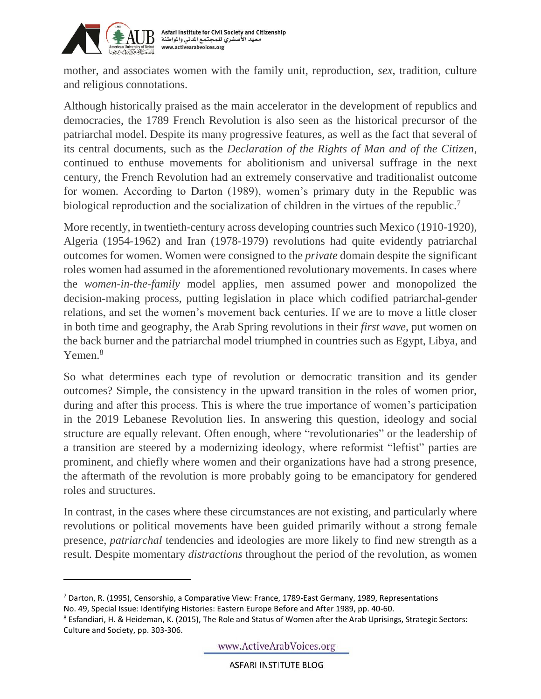

l

mother, and associates women with the family unit, reproduction, *sex*, tradition, culture and religious connotations.

Although historically praised as the main accelerator in the development of republics and democracies, the 1789 French Revolution is also seen as the historical precursor of the patriarchal model. Despite its many progressive features, as well as the fact that several of its central documents, such as the *Declaration of the Rights of Man and of the Citizen*, continued to enthuse movements for abolitionism and universal suffrage in the next century, the French Revolution had an extremely conservative and traditionalist outcome for women. According to Darton (1989), women's primary duty in the Republic was biological reproduction and the socialization of children in the virtues of the republic.<sup>7</sup>

More recently, in twentieth-century across developing countries such Mexico (1910-1920), Algeria (1954-1962) and Iran (1978-1979) revolutions had quite evidently patriarchal outcomes for women. Women were consigned to the *private* domain despite the significant roles women had assumed in the aforementioned revolutionary movements. In cases where the *women-in-the-family* model applies, men assumed power and monopolized the decision-making process, putting legislation in place which codified patriarchal-gender relations, and set the women's movement back centuries. If we are to move a little closer in both time and geography, the Arab Spring revolutions in their *first wave*, put women on the back burner and the patriarchal model triumphed in countries such as Egypt, Libya, and Yemen.<sup>8</sup>

So what determines each type of revolution or democratic transition and its gender outcomes? Simple, the consistency in the upward transition in the roles of women prior, during and after this process. This is where the true importance of women's participation in the 2019 Lebanese Revolution lies. In answering this question, ideology and social structure are equally relevant. Often enough, where "revolutionaries" or the leadership of a transition are steered by a modernizing ideology, where reformist "leftist" parties are prominent, and chiefly where women and their organizations have had a strong presence, the aftermath of the revolution is more probably going to be emancipatory for gendered roles and structures.

In contrast, in the cases where these circumstances are not existing, and particularly where revolutions or political movements have been guided primarily without a strong female presence, *patriarchal* tendencies and ideologies are more likely to find new strength as a result. Despite momentary *distractions* throughout the period of the revolution, as women

 $7$  Darton, R. (1995), Censorship, a Comparative View: France, 1789-East Germany, 1989, Representations No. 49, Special Issue: Identifying Histories: Eastern Europe Before and After 1989, pp. 40-60.

<sup>&</sup>lt;sup>8</sup> Esfandiari, H. & Heideman, K. (2015), The Role and Status of Women after the Arab Uprisings, Strategic Sectors: Culture and Society, pp. 303-306.

www.ActiveArabVoices.org